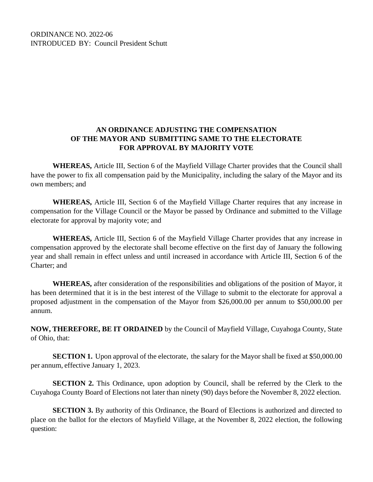ORDINANCE NO. 2022-06 INTRODUCED BY: Council President Schutt

## **AN ORDINANCE ADJUSTING THE COMPENSATION OF THE MAYOR AND SUBMITTING SAME TO THE ELECTORATE FOR APPROVAL BY MAJORITY VOTE**

**WHEREAS,** Article III, Section 6 of the Mayfield Village Charter provides that the Council shall have the power to fix all compensation paid by the Municipality, including the salary of the Mayor and its own members; and

**WHEREAS,** Article III, Section 6 of the Mayfield Village Charter requires that any increase in compensation for the Village Council or the Mayor be passed by Ordinance and submitted to the Village electorate for approval by majority vote; and

**WHEREAS,** Article III, Section 6 of the Mayfield Village Charter provides that any increase in compensation approved by the electorate shall become effective on the first day of January the following year and shall remain in effect unless and until increased in accordance with Article III, Section 6 of the Charter; and

**WHEREAS,** after consideration of the responsibilities and obligations of the position of Mayor, it has been determined that it is in the best interest of the Village to submit to the electorate for approval a proposed adjustment in the compensation of the Mayor from \$26,000.00 per annum to \$50,000.00 per annum.

**NOW, THEREFORE, BE IT ORDAINED** by the Council of Mayfield Village, Cuyahoga County, State of Ohio, that:

**SECTION 1.** Upon approval of the electorate, the salary for the Mayor shall be fixed at \$50,000.00 per annum, effective January 1, 2023.

**SECTION 2.** This Ordinance, upon adoption by Council, shall be referred by the Clerk to the Cuyahoga County Board of Elections not later than ninety (90) days before the November 8, 2022 election.

**SECTION 3.** By authority of this Ordinance, the Board of Elections is authorized and directed to place on the ballot for the electors of Mayfield Village, at the November 8, 2022 election, the following question: